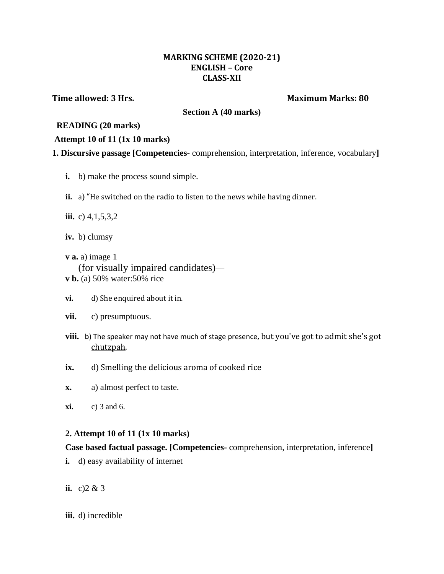#### **MARKING SCHEME (2020-21) ENGLISH – Core CLASS-XII**

**Time allowed: 3 Hrs. Maximum Marks: 80**

**Section A (40 marks)**

#### **READING (20 marks)**

#### **Attempt 10 of 11 (1x 10 marks)**

- **1. Discursive passage [Competencies-** comprehension, interpretation, inference, vocabulary**]**
	- **i.** b) make the process sound simple.
	- **ii.** a) "He switched on the radio to listen to the news while having dinner.
	- **iii.** c) 4,1,5,3,2
	- **iv.** b) clumsy
	- **v a.** a) image 1 (for visually impaired candidates) **v b.** (a) 50% water:50% rice
	- **vi.** d) She enquired about it in.
	- **vii.** c) presumptuous.
	- **viii.** b) The speaker may not have much of stage presence, but you've got to admit she's got chutzpah.
	- ix. d) Smelling the delicious aroma of cooked rice
	- **x.** a) almost perfect to taste.
	- **xi.** c) 3 and 6.

## **2. Attempt 10 of 11 (1x 10 marks)**

## **Case based factual passage. [Competencies-** comprehension, interpretation, inference**]**

- **i.** d) easy availability of internet
- **ii.** c)  $2 & 3$
- **iii.** d) incredible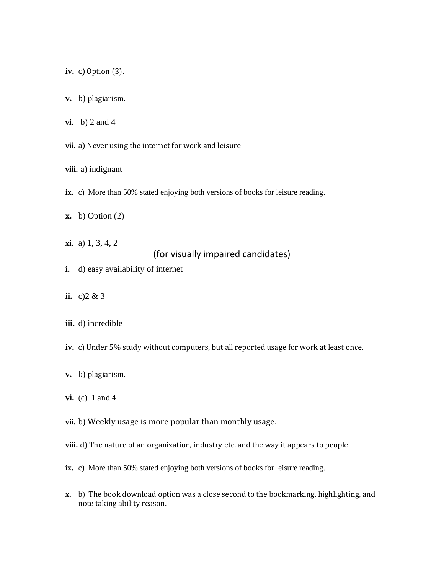**iv.** c) Option (3).

- **v.** b) plagiarism.
- **vi.** b) 2 and 4

**vii.** a) Never using the internet for work and leisure

**viii.** a) indignant

- **ix.** c) More than 50% stated enjoying both versions of books for leisure reading.
- **x.** b) Option (2)
- **xi.** a) 1, 3, 4, 2

## (for visually impaired candidates)

- **i.** d) easy availability of internet
- **ii.** c)  $2 \& 3$

#### **iii.** d) incredible

**iv.** c) Under 5% study without computers, but all reported usage for work at least once.

- **v.** b) plagiarism.
- **vi.** (c) 1 and 4
- **vii.** b) Weekly usage is more popular than monthly usage.
- viii. d) The nature of an organization, industry etc. and the way it appears to people
- **ix.** c) More than 50% stated enjoying both versions of books for leisure reading.
- **x.** b) The book download option was a close second to the bookmarking, highlighting, and note taking ability reason.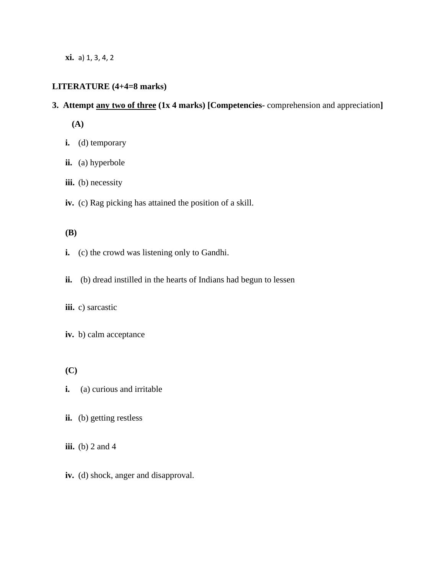**xi.** a) 1, 3, 4, 2

# **LITERATURE (4+4=8 marks)**

#### **3. Attempt any two of three (1x 4 marks) [Competencies-** comprehension and appreciation**]**

 **(A)**

- **i.** (d) temporary
- **ii.** (a) hyperbole
- iii. (b) necessity
- **iv.** (c) Rag picking has attained the position of a skill.

#### **(B)**

- **i.** (c) the crowd was listening only to Gandhi.
- ii. (b) dread instilled in the hearts of Indians had begun to lessen

#### **iii.** c) sarcastic

**iv.** b) calm acceptance

 **(C)**

- **i.** (a) curious and irritable
- **ii.** (b) getting restless

**iii.** (b) 2 and 4

**iv.** (d) shock, anger and disapproval.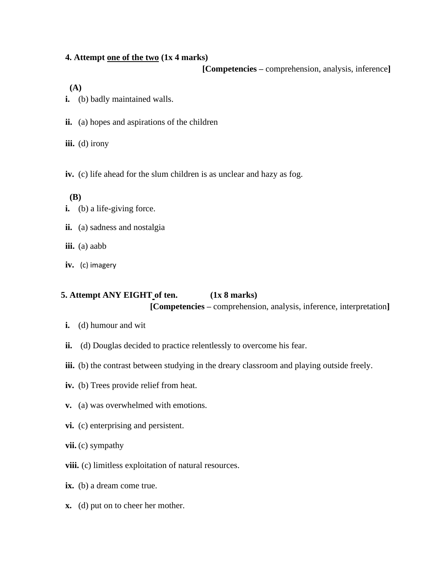#### **4. Attempt one of the two (1x 4 marks)**

 **[Competencies –** comprehension, analysis, inference**]**

 **(A)**

- **i.** (b) badly maintained walls.
- **ii.** (a) hopes and aspirations of the children

iii. (d) irony

**iv.** (c) life ahead for the slum children is as unclear and hazy as fog.

 **(B)**

- **i.** (b) a life-giving force.
- **ii.** (a) sadness and nostalgia
- **iii.** (a) aabb
- **iv.** (c) imagery

## **5. Attempt ANY EIGHT of ten. (1x 8 marks) [Competencies –** comprehension, analysis, inference, interpretation**]**

- **i.** (d) humour and wit
- **ii.** (d) Douglas decided to practice relentlessly to overcome his fear.
- iii. (b) the contrast between studying in the dreary classroom and playing outside freely.
- **iv.** (b) Trees provide relief from heat.
- **v.** (a) was overwhelmed with emotions.
- **vi.** (c) enterprising and persistent.
- **vii.** (c) sympathy
- **viii.** (c) limitless exploitation of natural resources.
- **ix.** (b) a dream come true.
- **x.** (d) put on to cheer her mother.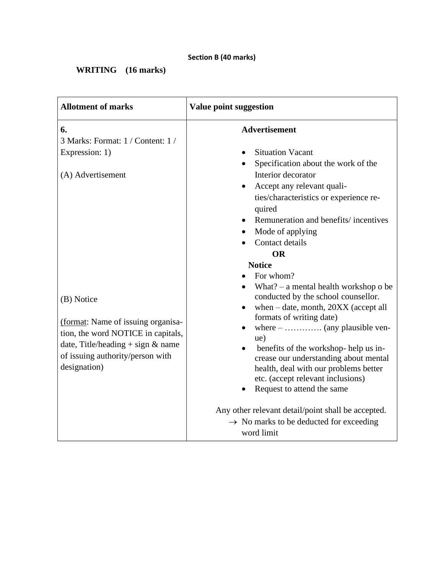**WRITING (16 marks)**

| <b>Allotment of marks</b>                                                                                                                                                         | <b>Value point suggestion</b>                                                                                                                                                                                                                                                                                                                                                                                                                                                                                                    |
|-----------------------------------------------------------------------------------------------------------------------------------------------------------------------------------|----------------------------------------------------------------------------------------------------------------------------------------------------------------------------------------------------------------------------------------------------------------------------------------------------------------------------------------------------------------------------------------------------------------------------------------------------------------------------------------------------------------------------------|
| 6.<br>3 Marks: Format: 1 / Content: 1 /<br>Expression: 1)<br>(A) Advertisement                                                                                                    | <b>Advertisement</b><br><b>Situation Vacant</b><br>Specification about the work of the<br>Interior decorator<br>Accept any relevant quali-<br>ties/characteristics or experience re-<br>quired<br>Remuneration and benefits/incentives<br>Mode of applying<br>Contact details                                                                                                                                                                                                                                                    |
| (B) Notice<br>(format: Name of issuing organisa-<br>tion, the word NOTICE in capitals,<br>date, Title/heading $+$ sign & name<br>of issuing authority/person with<br>designation) | <b>OR</b><br><b>Notice</b><br>For whom?<br>What? $-$ a mental health workshop o be<br>conducted by the school counsellor.<br>when $-$ date, month, $20XX$ (accept all<br>formats of writing date)<br>ue)<br>benefits of the workshop-help us in-<br>crease our understanding about mental<br>health, deal with our problems better<br>etc. (accept relevant inclusions)<br>Request to attend the same<br>Any other relevant detail/point shall be accepted.<br>$\rightarrow$ No marks to be deducted for exceeding<br>word limit |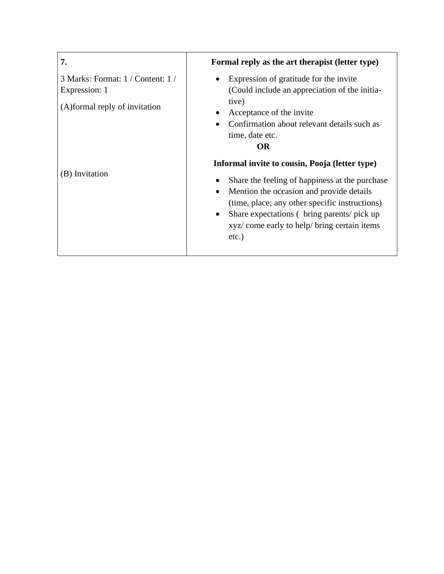| 7.                                                                                   | Formal reply as the art therapist (letter type)                                                                                                                                                                                                                                                                                    |
|--------------------------------------------------------------------------------------|------------------------------------------------------------------------------------------------------------------------------------------------------------------------------------------------------------------------------------------------------------------------------------------------------------------------------------|
| 3 Marks: Format: 1 / Content: 1 /<br>Expression: 1<br>(A) formal reply of invitation | Expression of gratitude for the invite<br>(Could include an appreciation of the initia-<br>tive)<br>Acceptance of the invite<br>$\bullet$<br>Confirmation about relevant details such as<br>time, date etc.<br><b>OR</b>                                                                                                           |
| (B) Invitation                                                                       | Informal invite to cousin, Pooja (letter type)<br>Share the feeling of happiness at the purchase<br>Mention the occasion and provide details<br>$\bullet$<br>(time, place; any other specific instructions)<br>Share expectations (bring parents/pick up)<br>$\bullet$<br>xyz/ come early to help/ bring certain items<br>$etc.$ ) |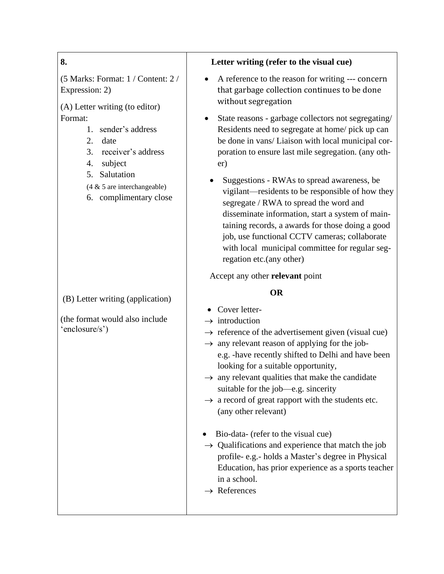## **8.**

(5 Marks: Format: 1 / Content: 2 / Expression: 2)

(A) Letter writing (to editor) Format:

- 1. sender's address
- 2. date
	- 3. receiver's address
	- 4. subject
	- 5. Salutation
	- (4 & 5 are interchangeable)
	- 6. complimentary close

## (B) Letter writing (application)

(the format would also include 'enclosure/s')

## **Letter writing (refer to the visual cue)**

- A reference to the reason for writing --- concern that garbage collection continues to be done without segregation
- State reasons garbage collectors not segregating/ Residents need to segregate at home/ pick up can be done in vans/ Liaison with local municipal corporation to ensure last mile segregation. (any other)
	- Suggestions RWAs to spread awareness, be vigilant—residents to be responsible of how they segregate / RWA to spread the word and disseminate information, start a system of maintaining records, a awards for those doing a good job, use functional CCTV cameras; collaborate with local municipal committee for regular segregation etc.(any other)

Accept any other **relevant** point

## **OR**

- Cover letter-
- $\rightarrow$  introduction
- $\rightarrow$  reference of the advertisement given (visual cue)
- $\rightarrow$  any relevant reason of applying for the job
	- e.g. -have recently shifted to Delhi and have been looking for a suitable opportunity,
- $\rightarrow$  any relevant qualities that make the candidate suitable for the job—e.g. sincerity
- $\rightarrow$  a record of great rapport with the students etc. (any other relevant)
- Bio-data- (refer to the visual cue)
- $\rightarrow$  Qualifications and experience that match the job profile- e.g.- holds a Master's degree in Physical Education, has prior experience as a sports teacher in a school.
- $\rightarrow$  References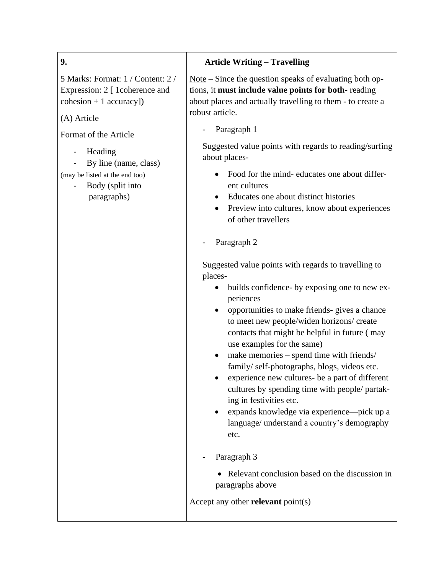## **9.**

5 Marks: Format: 1 / Content: 2 / Expression: 2 [ 1 coherence and cohesion + 1 accuracy])

(A) Article

Format of the Article

**Heading** 

By line (name, class)

(may be listed at the end too)

- Body (split into paragraphs)

# **Article Writing – Travelling**

Note – Since the question speaks of evaluating both options, it **must include value points for both-** reading about places and actually travelling to them - to create a robust article.

Paragraph 1

Suggested value points with regards to reading/surfing about places-

- Food for the mind- educates one about different cultures
- Educates one about distinct histories
- Preview into cultures, know about experiences of other travellers

## Paragraph 2

Suggested value points with regards to travelling to places-

- builds confidence- by exposing one to new experiences
- opportunities to make friends- gives a chance to meet new people/widen horizons/ create contacts that might be helpful in future ( may use examples for the same)
- make memories spend time with friends/ family/ self-photographs, blogs, videos etc.
- experience new cultures- be a part of different cultures by spending time with people/ partaking in festivities etc.
- expands knowledge via experience—pick up a language/ understand a country's demography etc.
- Paragraph 3
	- Relevant conclusion based on the discussion in paragraphs above

Accept any other **relevant** point(s)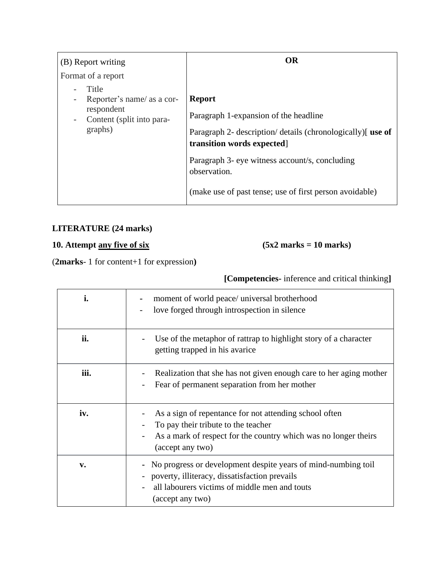| (B) Report writing                                                                                                    | <b>OR</b>                                                                                                                                           |
|-----------------------------------------------------------------------------------------------------------------------|-----------------------------------------------------------------------------------------------------------------------------------------------------|
| Format of a report                                                                                                    |                                                                                                                                                     |
| Title<br>Reporter's name/ as a cor-<br>respondent<br>Content (split into para-<br>$\overline{\phantom{0}}$<br>graphs) | <b>Report</b><br>Paragraph 1-expansion of the headline<br>Paragraph 2- description/ details (chronologically) [use of<br>transition words expected] |
|                                                                                                                       | Paragraph 3- eye witness account/s, concluding<br>observation.<br>(make use of past tense; use of first person avoidable)                           |

# **LITERATURE (24 marks)**

# **10. Attempt any five of six (5x2 marks = 10 marks)**

(**2marks**- 1 for content+1 for expression**)**

## **[Competencies-** inference and critical thinking**]**

| i.   | moment of world peace/ universal brotherhood<br>love forged through introspection in silence                                                                                            |
|------|-----------------------------------------------------------------------------------------------------------------------------------------------------------------------------------------|
| ii.  | Use of the metaphor of rattrap to highlight story of a character<br>getting trapped in his avarice                                                                                      |
| iii. | Realization that she has not given enough care to her aging mother<br>Fear of permanent separation from her mother                                                                      |
| iv.  | As a sign of repentance for not attending school often<br>To pay their tribute to the teacher<br>As a mark of respect for the country which was no longer theirs<br>(accept any two)    |
| v.   | - No progress or development despite years of mind-numbing toil<br>- poverty, illiteracy, dissatisfaction prevails<br>all labourers victims of middle men and touts<br>(accept any two) |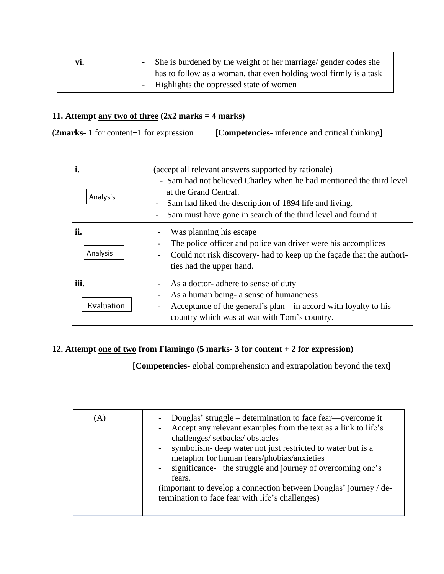| vi. | - She is burdened by the weight of her marriage/ gender codes she |
|-----|-------------------------------------------------------------------|
|     | has to follow as a woman, that even holding wool firmly is a task |
|     | - Highlights the oppressed state of women                         |

## 11. Attempt  $\frac{\text{any two of three}}{2x2 \text{ marks}} = 4 \text{ marks}$

(**2marks**- 1 for content+1 for expression **[Competencies-** inference and critical thinking**]**

| í.<br>Analysis     | (accept all relevant answers supported by rationale)<br>- Sam had not believed Charley when he had mentioned the third level<br>at the Grand Central.<br>Sam had liked the description of 1894 life and living.<br>Sam must have gone in search of the third level and found it |
|--------------------|---------------------------------------------------------------------------------------------------------------------------------------------------------------------------------------------------------------------------------------------------------------------------------|
| ii.<br>Analysis    | Was planning his escape.<br>The police officer and police van driver were his accomplices<br>Could not risk discovery- had to keep up the façade that the authori-<br>ties had the upper hand.                                                                                  |
| iii.<br>Evaluation | As a doctor- adhere to sense of duty<br>As a human being- a sense of humaneness<br>Acceptance of the general's plan $-$ in accord with loyalty to his<br>country which was at war with Tom's country.                                                                           |

## **12. Attempt one of two from Flamingo (5 marks- 3 for content + 2 for expression)**

 **[Competencies-** global comprehension and extrapolation beyond the text**]**

| (A) | Douglas' struggle – determination to face fear—overcome it<br>- Accept any relevant examples from the text as a link to life's<br>challenges/setbacks/obstacles<br>- symbolism- deep water not just restricted to water but is a<br>metaphor for human fears/phobias/anxieties<br>- significance the struggle and journey of overcoming one's<br>fears.<br>(important to develop a connection between Douglas' journey / de-<br>termination to face fear with life's challenges) |
|-----|----------------------------------------------------------------------------------------------------------------------------------------------------------------------------------------------------------------------------------------------------------------------------------------------------------------------------------------------------------------------------------------------------------------------------------------------------------------------------------|
|-----|----------------------------------------------------------------------------------------------------------------------------------------------------------------------------------------------------------------------------------------------------------------------------------------------------------------------------------------------------------------------------------------------------------------------------------------------------------------------------------|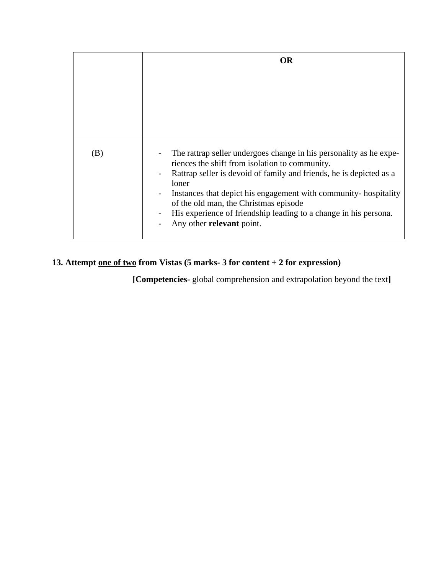|     | OR                                                                                                                                                                                                                                                                                                                                                                                                                |
|-----|-------------------------------------------------------------------------------------------------------------------------------------------------------------------------------------------------------------------------------------------------------------------------------------------------------------------------------------------------------------------------------------------------------------------|
|     |                                                                                                                                                                                                                                                                                                                                                                                                                   |
| (B) | The rattrap seller undergoes change in his personality as he expe-<br>riences the shift from isolation to community.<br>Rattrap seller is devoid of family and friends, he is depicted as a<br>loner<br>Instances that depict his engagement with community-hospitality<br>of the old man, the Christmas episode<br>His experience of friendship leading to a change in his persona.<br>Any other relevant point. |

## **13. Attempt one of two from Vistas (5 marks- 3 for content + 2 for expression)**

 **[Competencies-** global comprehension and extrapolation beyond the text**]**